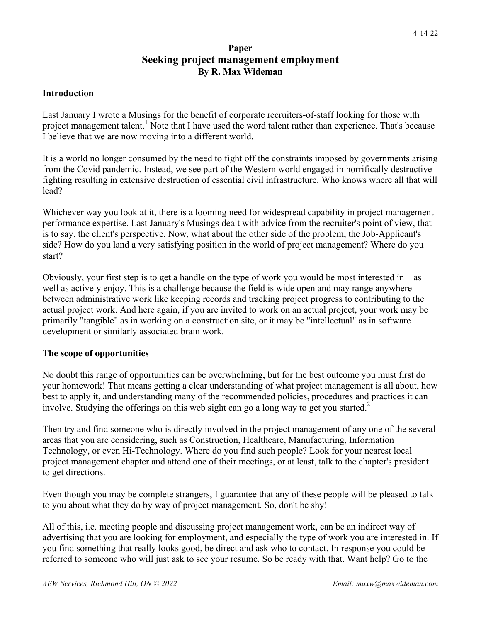# **Paper Seeking project management employment By R. Max Wideman**

#### **Introduction**

Last January I wrote a Musings for the benefit of corporate recruiters-of-staff looking for those with project management talent.<sup>1</sup> Note that I have used the word talent rather than experience. That's because I believe that we are now moving into a different world.

It is a world no longer consumed by the need to fight off the constraints imposed by governments arising from the Covid pandemic. Instead, we see part of the Western world engaged in horrifically destructive fighting resulting in extensive destruction of essential civil infrastructure. Who knows where all that will lead?

Whichever way you look at it, there is a looming need for widespread capability in project management performance expertise. Last January's Musings dealt with advice from the recruiter's point of view, that is to say, the client's perspective. Now, what about the other side of the problem, the Job-Applicant's side? How do you land a very satisfying position in the world of project management? Where do you start?

Obviously, your first step is to get a handle on the type of work you would be most interested in  $-$  as well as actively enjoy. This is a challenge because the field is wide open and may range anywhere between administrative work like keeping records and tracking project progress to contributing to the actual project work. And here again, if you are invited to work on an actual project, your work may be primarily "tangible" as in working on a construction site, or it may be "intellectual" as in software development or similarly associated brain work.

### **The scope of opportunities**

No doubt this range of opportunities can be overwhelming, but for the best outcome you must first do your homework! That means getting a clear understanding of what project management is all about, how best to apply it, and understanding many of the recommended policies, procedures and practices it can involve. Studying the offerings on this web sight can go a long way to get you started.<sup>2</sup>

Then try and find someone who is directly involved in the project management of any one of the several areas that you are considering, such as Construction, Healthcare, Manufacturing, Information Technology, or even Hi-Technology. Where do you find such people? Look for your nearest local project management chapter and attend one of their meetings, or at least, talk to the chapter's president to get directions.

Even though you may be complete strangers, I guarantee that any of these people will be pleased to talk to you about what they do by way of project management. So, don't be shy!

All of this, i.e. meeting people and discussing project management work, can be an indirect way of advertising that you are looking for employment, and especially the type of work you are interested in. If you find something that really looks good, be direct and ask who to contact. In response you could be referred to someone who will just ask to see your resume. So be ready with that. Want help? Go to the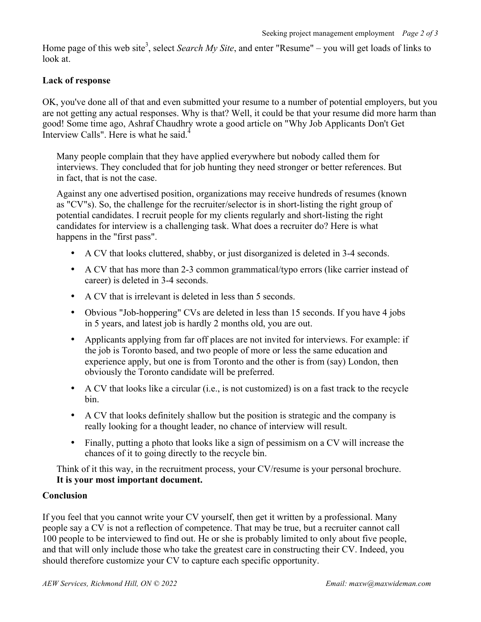Home page of this web site<sup>3</sup>, select *Search My Site*, and enter "Resume" – you will get loads of links to look at.

## **Lack of response**

OK, you've done all of that and even submitted your resume to a number of potential employers, but you are not getting any actual responses. Why is that? Well, it could be that your resume did more harm than good! Some time ago, Ashraf Chaudhry wrote a good article on "Why Job Applicants Don't Get Interview Calls". Here is what he said.<sup>4</sup>

Many people complain that they have applied everywhere but nobody called them for interviews. They concluded that for job hunting they need stronger or better references. But in fact, that is not the case.

Against any one advertised position, organizations may receive hundreds of resumes (known as "CV"s). So, the challenge for the recruiter/selector is in short-listing the right group of potential candidates. I recruit people for my clients regularly and short-listing the right candidates for interview is a challenging task. What does a recruiter do? Here is what happens in the "first pass".

- A CV that looks cluttered, shabby, or just disorganized is deleted in 3-4 seconds.
- A CV that has more than 2-3 common grammatical/typo errors (like carrier instead of career) is deleted in 3-4 seconds.
- A CV that is irrelevant is deleted in less than 5 seconds.
- Obvious "Job-hoppering" CVs are deleted in less than 15 seconds. If you have 4 jobs in 5 years, and latest job is hardly 2 months old, you are out.
- Applicants applying from far off places are not invited for interviews. For example: if the job is Toronto based, and two people of more or less the same education and experience apply, but one is from Toronto and the other is from (say) London, then obviously the Toronto candidate will be preferred.
- A CV that looks like a circular (i.e., is not customized) is on a fast track to the recycle bin.
- A CV that looks definitely shallow but the position is strategic and the company is really looking for a thought leader, no chance of interview will result.
- Finally, putting a photo that looks like a sign of pessimism on a CV will increase the chances of it to going directly to the recycle bin.

Think of it this way, in the recruitment process, your CV/resume is your personal brochure. **It is your most important document.**

### **Conclusion**

If you feel that you cannot write your CV yourself, then get it written by a professional. Many people say a CV is not a reflection of competence. That may be true, but a recruiter cannot call 100 people to be interviewed to find out. He or she is probably limited to only about five people, and that will only include those who take the greatest care in constructing their CV. Indeed, you should therefore customize your CV to capture each specific opportunity.